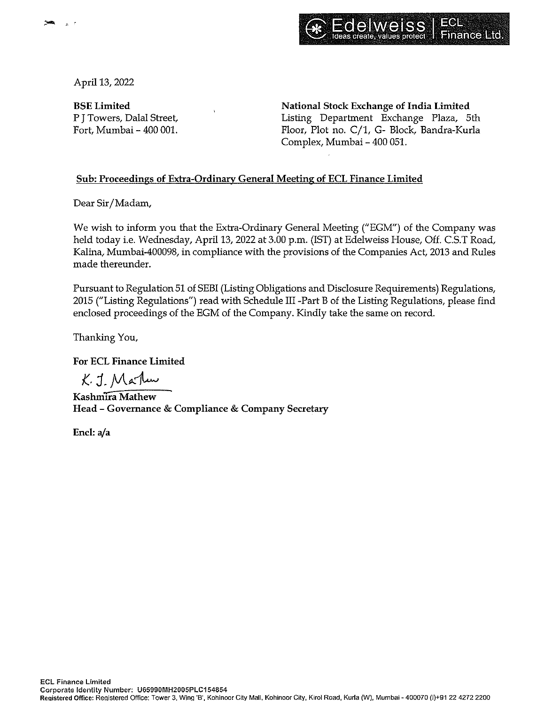



April 13, 2022

BSELimited P J Towers, Dalal Street, Fort, Mumbai - 400 001. National Stock Exchange of India Limited Listing Department Exchange Plaza, 5th Floor, Plot no. C/1, G- Block, Bandra-Kurla Complex, Mumbai - 400 051.

## Sub: Proceedings of Extra-Ordinary General Meeting of ECL Finance Limited

Dear Sir/Madam,

We wish to inform you that the Extra-Ordinary General Meeting ("EGM") of the Company was held today i.e. Wednesday, April 13, 2022 at 3.00 p.m. (1ST) at Edelweiss House, Off. C.S.T Road, Kalina, Mumbai-400098, in compliance with the provisions of the Companies Act, 2013 and Rules made thereunder.

Pursuant to Regulation 51 of SEBI (Listing Obligations and Disclosure Requirements) Regulations, 2015 ("Listing Regulations") read with Schedule III -Part B of the Listing Regulations, please find enclosed proceedings of the EGM of the Company. Kindly take the same on record.

Thanking You,

**For ECL Finance Limited** 

K. J. Marku

**Kashmira Mathew Head** - **Governance** & **Compliance** & **Company Secretary** 

**Encl: a/a**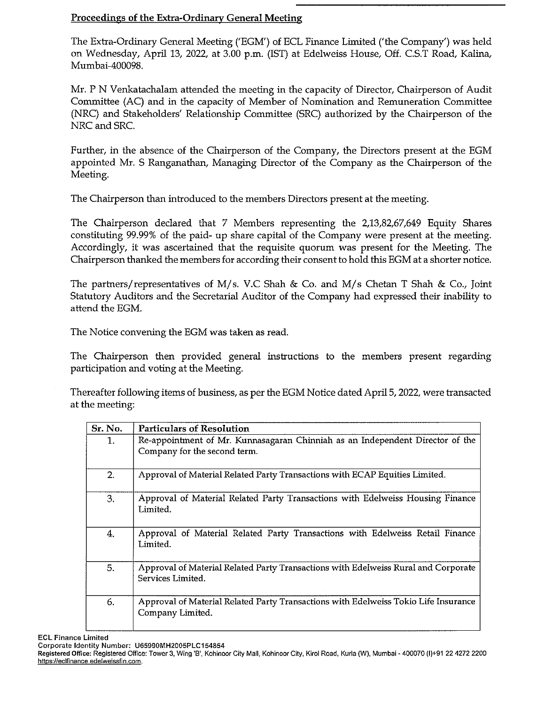## Proceedings of the Extra-Ordinary General Meeting

The Extra-Ordinary General Meeting ('EGM') of ECL Finance Limited ('the Company') was held on Wednesday, April 13, 2022, at 3.00 p.m. (IST) at Edelweiss House, Off. C.S.T Road, Kalina, Mumbai-400098.

Mr. P N Venkatachalam attended the meeting in the capacity of Director, Chairperson of Audit Committee (AC) and in the capacity of Member of Nomination and Remuneration Committee (NRC) and Stakeholders' Relationship Committee (SRC) authorized by the Chairperson of the NRC and SRC.

Further, in the absence of the Chairperson of the Company, the Directors present at the EGM appointed Mr. S Ranganathan, Managing Director of the Company as the Chairperson of the Meeting.

The Chairperson than introduced to the members Directors present at the meeting.

The Chairperson declared that 7 Members representing the 2,13,82,67,649 Equity Shares constituting 99.99% of the paid- up share capital of the Company were present at the meeting. Accordingly, it was ascertained that the requisite quorum was present for the Meeting. The Chairperson thanked the members for according their consent to hold this EGM at a shorter notice.

The partners/representatives of M/s. V.C Shah & Co. and M/s Chetan T Shah & Co., Joint Statutory Auditors and the Secretarial Auditor of the Company had expressed their inability to attend the EGM.

The Notice convening the EGM was taken as read.

The Chairperson then provided general instructions to the members present regarding participation and voting at the Meeting.

Thereafter following items of business, as per the EGM Notice dated April 5, 2022, were transacted at the meeting:

| Sr. No. | <b>Particulars of Resolution</b>                                                                        |
|---------|---------------------------------------------------------------------------------------------------------|
| 1.      | Re-appointment of Mr. Kunnasagaran Chinniah as an Independent Director of the                           |
|         | Company for the second term.                                                                            |
| 2.      | Approval of Material Related Party Transactions with ECAP Equities Limited.                             |
| 3.      | Approval of Material Related Party Transactions with Edelweiss Housing Finance<br>Limited.              |
| 4.      | Approval of Material Related Party Transactions with Edelweiss Retail Finance<br>Limited.               |
| 5.      | Approval of Material Related Party Transactions with Edelweiss Rural and Corporate<br>Services Limited. |
| 6.      | Approval of Material Related Party Transactions with Edelweiss Tokio Life Insurance<br>Company Limited. |

**EGL Finance Limited** 

**Corporate Identity Number: U65990MH2005PLC154854** 

**Registered Office: Registered Office: Tower 3, Wing '8', Kohinoor City Mall, Kohinoor City, Kiral Road, Kurla (W), Mumbai~ 400070 (1)+91 22 4272 2200 https:f/eclfinance.ede!weissfin.com.**